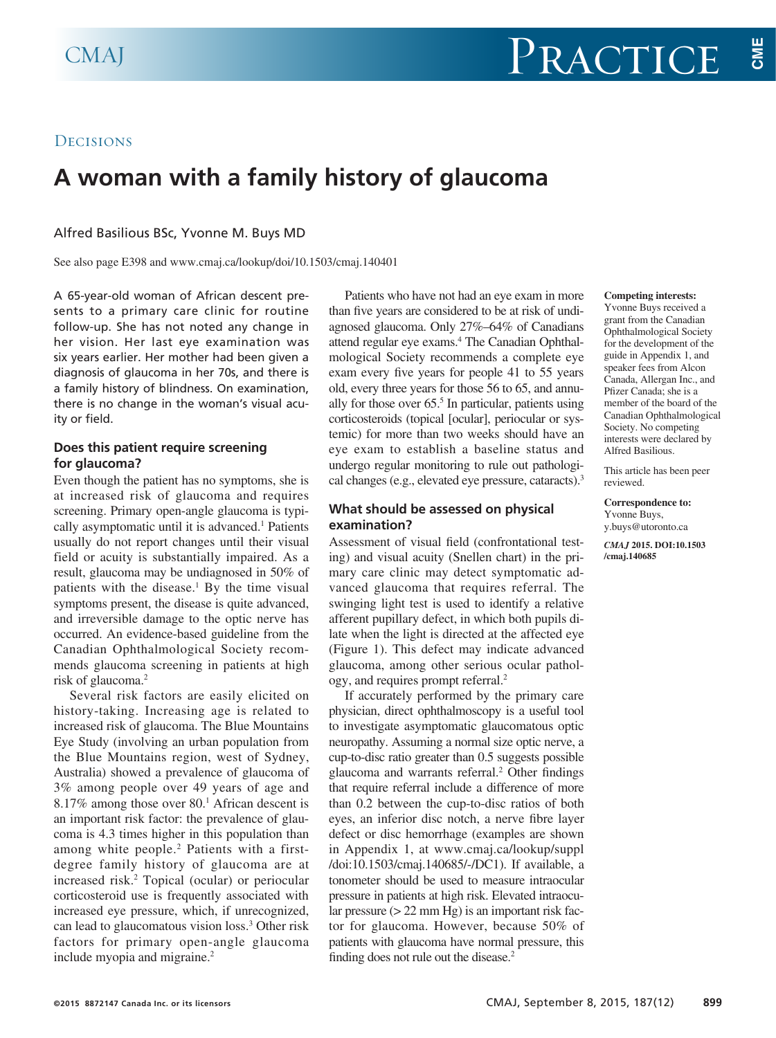## **DECISIONS**

# **A woman with a family history of glaucoma**

Alfred Basilious BSc, Yvonne M. Buys MD

See also page E398 and www.cmaj.ca/lookup/doi/10.1503/cmaj.140401

A 65-year-old woman of African descent presents to a primary care clinic for routine follow-up. She has not noted any change in her vision. Her last eye examination was six years earlier. Her mother had been given a diagnosis of glaucoma in her 70s, and there is a family history of blindness. On examination, there is no change in the woman's visual acuity or field.

## **Does this patient require screening for glaucoma?**

Even though the patient has no symptoms, she is at increased risk of glaucoma and requires screening. Primary open-angle glaucoma is typically asymptomatic until it is advanced.<sup>1</sup> Patients usually do not report changes until their visual field or acuity is substantially impaired. As a result, glaucoma may be undiagnosed in 50% of patients with the disease.<sup>1</sup> By the time visual symptoms present, the disease is quite advanced, and irreversible damage to the optic nerve has occurred. An evidence-based guideline from the Canadian Ophthalmological Society recommends glaucoma screening in patients at high risk of glaucoma.<sup>2</sup>

Several risk factors are easily elicited on history-taking. Increasing age is related to increased risk of glaucoma. The Blue Mountains Eye Study (involving an urban population from the Blue Mountains region, west of Sydney, Australia) showed a prevalence of glaucoma of 3% among people over 49 years of age and 8.17% among those over 80.<sup>1</sup> African descent is an important risk factor: the prevalence of glaucoma is 4.3 times higher in this population than among white people. 2 Patients with a firstdegree family history of glaucoma are at increased risk.2 Topical (ocular) or periocular corticosteroid use is frequently associated with increased eye pressure, which, if unrecognized, can lead to glaucomatous vision loss.3 Other risk factors for primary open-angle glaucoma include myopia and migraine.<sup>2</sup>

Patients who have not had an eye exam in more than five years are considered to be at risk of undiagnosed glaucoma. Only 27%–64% of Canadians attend regular eye exams.<sup>4</sup> The Canadian Ophthalmological Society recommends a complete eye exam every five years for people 41 to 55 years old, every three years for those 56 to 65, and annually for those over 65.<sup>5</sup> In particular, patients using corticosteroids (topical [ocular], periocular or systemic) for more than two weeks should have an eye exam to establish a baseline status and undergo regular monitoring to rule out pathological changes (e.g., elevated eye pressure, cataracts).3

## **What should be assessed on physical examination?**

Assessment of visual field (confrontational testing) and visual acuity (Snellen chart) in the primary care clinic may detect symptomatic advanced glaucoma that requires referral. The swinging light test is used to identify a relative afferent pupillary defect, in which both pupils dilate when the light is directed at the affected eye (Figure 1). This defect may indicate advanced glaucoma, among other serious ocular pathology, and requires prompt referral.2

If accurately performed by the primary care physician, direct ophthalmoscopy is a useful tool to investigate asymptomatic glaucomatous optic neuropathy. Assuming a normal size optic nerve, a cup-to-disc ratio greater than 0.5 suggests possible glaucoma and warrants referral.<sup>2</sup> Other findings that require referral include a difference of more than 0.2 between the cup-to-disc ratios of both eyes, an inferior disc notch, a nerve fibre layer defect or disc hemorrhage (examples are shown in Appendix 1, at www.cmaj.ca/lookup/suppl /doi:10.1503/cmaj.140685/-/DC1). If available, a tonometer should be used to measure intraocular pressure in patients at high risk. Elevated intraocular pressure (> 22 mm Hg) is an important risk factor for glaucoma. However, because 50% of patients with glaucoma have normal pressure, this finding does not rule out the disease.<sup>2</sup>

#### **Competing interests:**

Yvonne Buys received a grant from the Canadian Ophthalmological Society for the development of the guide in Appendix 1, and speaker fees from Alcon Canada, Allergan Inc., and Pfizer Canada; she is a member of the board of the Canadian Ophthalmological Society. No competing interests were declared by Alfred Basilious.

This article has been peer reviewed.

**Correspondence to:**  Yvonne Buys, y.buys@utoronto.ca

*CMAJ* **2015. DOI:10.1503 /cmaj.140685**